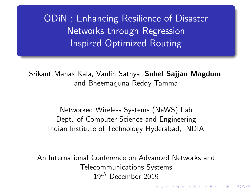<span id="page-0-0"></span>ODiN : Enhancing Resilience of Disaster Networks through Regression Inspired Optimized Routing

Srikant Manas Kala, Vanlin Sathya, Suhel Sajjan Magdum, and Bheemarjuna Reddy Tamma

Networked Wireless Systems (NeWS) Lab Dept. of Computer Science and Engineering Indian Institute of Technology Hyderabad, INDIA

An International Conference on Advanced Networks and Telecommunications Systems 19 $^{th}$  December 2019

K ロ K K 御 K K W B K W B K W B B

 $2Q$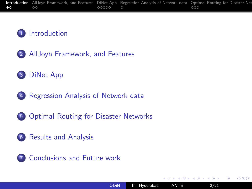#### <span id="page-1-0"></span>[Introduction](#page-1-0)

- [AllJoyn Framework, and Features](#page-7-0)
- [DiNet App](#page-20-0)
- [Regression Analysis of Network data](#page-26-0)
- [Optimal Routing for Disaster Networks](#page-27-0)
- [Results and Analysis](#page-33-0)



4 17 18

つくへ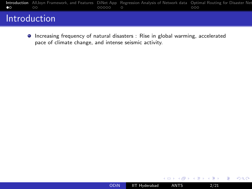|                   |    |       | Introduction AllJoyn Framework, and Features DiNet App Regression Analysis of Network data Optimal Routing for Disaster Net |     |  |
|-------------------|----|-------|-----------------------------------------------------------------------------------------------------------------------------|-----|--|
| $\bullet$ $\circ$ | ററ | 00000 |                                                                                                                             | 000 |  |

### Introduction

Increasing frequency of natural disasters : Rise in global warming, accelerated pace of climate change, and intense seismic activity.

4日)

E

モミッ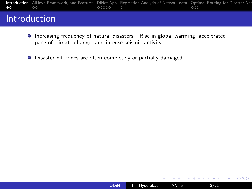|                   |    |       | Introduction AllJoyn Framework, and Features DiNet App Regression Analysis of Network data Optimal Routing for Disaster Net |     |  |
|-------------------|----|-------|-----------------------------------------------------------------------------------------------------------------------------|-----|--|
| $\bullet$ $\circ$ | ററ | 00000 |                                                                                                                             | 000 |  |

### Introduction

- **Increasing frequency of natural disasters : Rise in global warming, accelerated** pace of climate change, and intense seismic activity.
- Disaster-hit zones are often completely or partially damaged.

4日)

つくへ

Э× ∍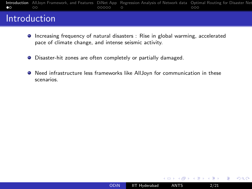[Introduction](#page-1-0) [AllJoyn Framework, and Features](#page-7-0) [DiNet App](#page-20-0) [Regression Analysis of Network data](#page-26-0) Optimal Routing for Disaster Net<br>• 00000 00000 0000 0000

#### Introduction

- Increasing frequency of natural disasters : Rise in global warming, accelerated pace of climate change, and intense seismic activity.
- Disaster-hit zones are often completely or partially damaged.
- Need infrastructure less frameworks like AllJoyn for communication in these scenarios.

4日下

 $\leftarrow \equiv +$ 

 $QQ$ 

∍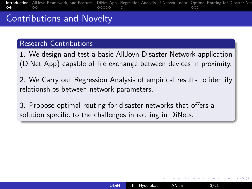[Introduction](#page-1-0) [AllJoyn Framework, and Features](#page-7-0) [DiNet App](#page-20-0) [Regression Analysis of Network data](#page-26-0) Optimal Routing for Disaster Net<br>000 0000 0000 0000 0000 analysis and Feature works and Analysis and Analysis of Network data Optim  $\Omega$ 

# Contributions and Novelty

#### Research Contributions

1. We design and test a basic AllJoyn Disaster Network application (DiNet App) capable of file exchange between devices in proximity.

2. We Carry out Regression Analysis of empirical results to identify relationships between network parameters.

3. Propose optimal routing for disaster networks that offers a solution specific to the challenges in routing in DiNets.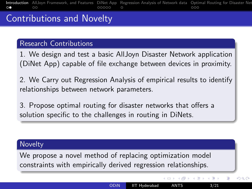[Introduction](#page-1-0) [AllJoyn Framework, and Features](#page-7-0) [DiNet App](#page-20-0) [Regression Analysis of Network data](#page-26-0) Optimal Routing for Disaster Net<br>000 0000 0000 0000 0000 analysis and Feature works and Analysis and Analysis of Network data Optim  $\circ$ 

# Contributions and Novelty

#### Research Contributions

1. We design and test a basic AllJoyn Disaster Network application (DiNet App) capable of file exchange between devices in proximity.

2. We Carry out Regression Analysis of empirical results to identify relationships between network parameters.

3. Propose optimal routing for disaster networks that offers a solution specific to the challenges in routing in DiNets.

#### **Novelty**

We propose a novel method of replacing optimization model constraints with empirically derived regression relationships.

**≮ロト ⊀何ト ⊀ ヨト ⊀ ヨト** 

 $QQ$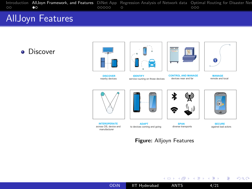<span id="page-7-0"></span>[Introduction](#page-1-0) **[AllJoyn Framework, and Features](#page-7-0)** [DiNet App](#page-20-0) [Regression Analysis of Network data](#page-26-0) Optimal Routing for Disaster Net<br>00000 00000 00000 analysis and Analysis and Feature works and Analysis of Network data Optimal R

#### AllJoyn Features

#### **•** Discover











 **CONTROL AND MANAGE** devices near and far



 **MANAGE** remote and local







 **SPAN** diverse transports



against bad actors

重

 $299$ 

 **INTEROPERATE** across OS, device and manufacturer



#### Figure: Alljoyn Features

**K ロ ▶ K 御 ▶ K 君 ▶ K 君 ▶**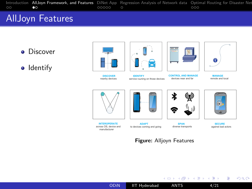

**•** Discover

**o** Identify















 **MANAGE** remote and local







 **SPAN** diverse transports



against bad actors

E

 $299$ 



 **INTEROPERATE** across OS, device and manufacturer



#### Figure: Alljoyn Features

**K ロ ▶ K 御 ▶ K 君 ▶ K 君 ▶**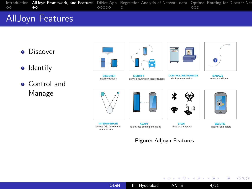

- **•** Discover
- Identify
- **Control and** Manage











 **CONTROL AND MANAGE** devices near and far



 **MANAGE** remote and local



 **INTEROPERATE** across OS, device and manufacturer



 **ADAPT** to devices coming and going



 **SPAN** diverse transports



Figure: Alljoyn Features





[ODiN](#page-0-0) IIT Hyderabad ANTS 4/21

メロトメ部 トメミトメミト

E  $299$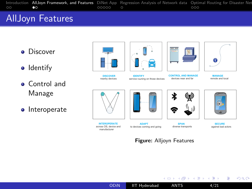

- **•** Discover
- Identify
- **Control and** Manage
- Interoperate



 **DISCOVER** nearby devices









 **MANAGE** remote and local

 $\bullet$ 







 **ADAPT** to devices coming and going



**CDAM** diverse transports

 **SECURE** against bad actors

Figure: Alljoyn Features



メロトメ部 トメミトメミト

E  $299$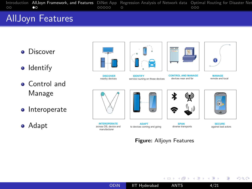

- **•** Discover
- Identify
- **Control and** Manage
- Interoperate
- Adapt















 **MANAGE** remote and local



 **INTEROPERATE** across OS, device and manufacturer



 **ADAPT** to devices coming and going



**CDAM** diverse transports

#### **SECURE** against bad actors

Figure: Alljoyn Features





[ODiN](#page-0-0) IIT Hyderabad ANTS 4/21

メロトメ部 トメミトメミト

E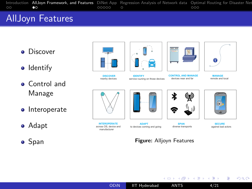

- **•** Discover
- Identify
- **Control and** Manage
- Interoperate
- Adapt
- Span



 **DISCOVER** nearby devices







 **CONTROL AND MANAGE** devices near and far



 **MANAGE** remote and local



 **INTEROPERATE** across OS, device and manufacturer



 **ADAPT** to devices coming and going



**CDAM** diverse transports

#### **SECURE** against bad actors

#### Figure: Alljoyn Features



[ODiN](#page-0-0) IIT Hyderabad ANTS 4/21

メロトメ部 トメミトメミト

E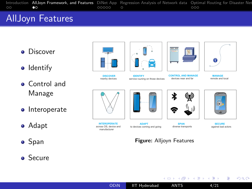

- **•** Discover
- Identify
- **Control and** Manage
- Interoperate
- Adapt
- Span
- **•** Secure













 **CONTROL AND MANAGE** devices near and far

 **MANAGE** remote and local



 **INTEROPERATE** across OS, device and manufacturer





to devices coming and going



メロトメ部 トメミトメミト

**CDAM** diverse transports

#### **SECURE** against bad actors

E

 $299$ 

Figure: Alljoyn Features

[ODiN](#page-0-0) IIT Hyderabad ANTS 4/21



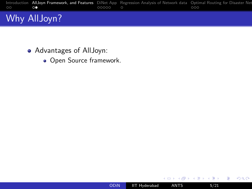

- Advantages of AllJoyn:
	- Open Source framework.



 $\leftarrow$   $\Box$   $\rightarrow$ 

∢母

→ 重→

Ξ  $\mathbf{p}$ ×.

E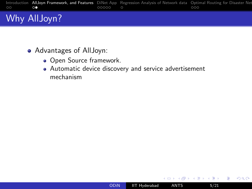

- Advantages of AllJoyn:
	- Open Source framework.
	- Automatic device discovery and service advertisement mechanism

4日)

 $299$ 

э

医重变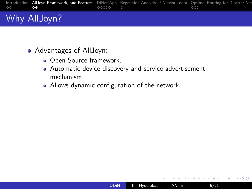

- Advantages of AllJoyn:
	- Open Source framework.
	- Automatic device discovery and service advertisement mechanism
	- Allows dynamic configuration of the network.

4日)

ヨト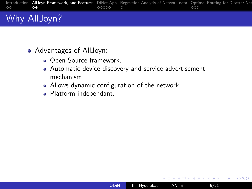

- Advantages of AllJoyn:
	- Open Source framework.
	- Automatic device discovery and service advertisement mechanism
	- Allows dynamic configuration of the network.
	- Platform independant.

4日)

ヨト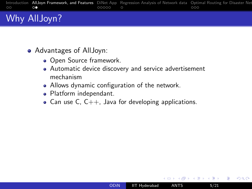

- Advantages of AllJoyn:
	- Open Source framework.
	- Automatic device discovery and service advertisement mechanism
	- Allows dynamic configuration of the network.
	- Platform independant.
	- Can use C,  $C_{++}$ , Java for developing applications.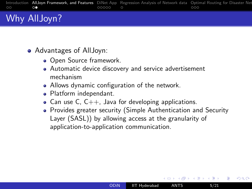|         |    |         | Introduction AllJoyn Framework, and Features DiNet App Regression Analysis of Network data Optimal Routing for Disaster Net |     |
|---------|----|---------|-----------------------------------------------------------------------------------------------------------------------------|-----|
| $\circ$ | ⌒● | ററററെ റ |                                                                                                                             | 000 |
|         |    |         |                                                                                                                             |     |

- Advantages of AllJoyn:
	- Open Source framework.
	- Automatic device discovery and service advertisement mechanism
	- Allows dynamic configuration of the network.
	- Platform independant.
	- Can use C,  $C_{++}$ , Java for developing applications.
	- Provides greater security (Simple Authentication and Security Layer (SASL)) by allowing access at the granularity of application-to-application communication.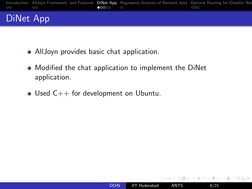<span id="page-20-0"></span>

# DiNet App

- AllJoyn provides basic chat application.
- Modified the chat application to implement the DiNet application.
- Used  $C_{++}$  for development on Ubuntu.

4日)

つくへ

モミッ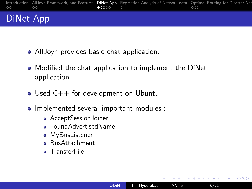

# DiNet App

- AllJoyn provides basic chat application.
- Modified the chat application to implement the DiNet application.
- Used  $C_{++}$  for development on Ubuntu.
- Implemented several important modules :
	- **•** AcceptSessionJoiner
	- FoundAdvertisedName
	- **•** MyBusListener
	- **BusAttachment**
	- **o** TransferFile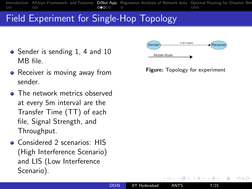<span id="page-22-0"></span>[Introduction](#page-1-0) [AllJoyn Framework, and Features](#page-7-0) **[DiNet App](#page-20-0)** [Regression Analysis of Network data](#page-26-0) Optimal Routing for Disaster Net<br>0000000000000000000000000  $\circ$  $\Omega$ 

# Field Experiment for Single-Hop Topology

- Sender is sending 1, 4 and 10 MB file.
- Receiver is moving away from sender.
- The network metrics observed at every 5m interval are the Transfer Time (TT) of each file, Signal Strength, and Throughput.
- Considered 2 scenarios: HIS (High Interference Scenario) and LIS (Low Interference Scenario).



Figure: Topology for experiment

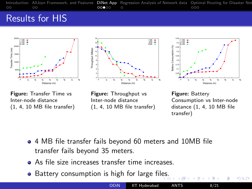[Introduction](#page-1-0) [AllJoyn Framework, and Features](#page-7-0) **[DiNet App](#page-20-0)** [Regression Analysis of Network data](#page-26-0) Optimal Routing for Disaster Net<br>000 0000 0000 0000 analysis and Analysis of Network data Optimal Routing for Disaster Net  $\Omega$ 

#### Results for HIS







Figure: Transfer Time vs Inter-node distance (1, 4, 10 MB file transfer)

Figure: Throughput vs Inter-node distance (1, 4, 10 MB file transfer)

Figure: Battery Consumption vs Inter-node distance (1, 4, 10 MB file transfer)

- 4 MB file transfer fails beyond 60 meters and 10MB file transfer fails beyond 35 meters.
- As file size increases transfer time increases.
- Battery consumption is high for large fil[es](#page-22-0).

| <b>ODIN</b> | <b>IIT Hyderabad</b> ANTS | 8/21 |  |
|-------------|---------------------------|------|--|

36) Rothunsuc) Australian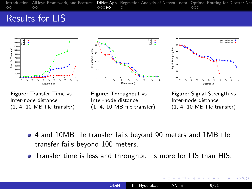[Introduction](#page-1-0) [AllJoyn Framework, and Features](#page-7-0) [DiNet App](#page-20-0) [Regression Analysis of Network data](#page-26-0) [Optimal Routing for Disaster Networks](#page-27-0) [Results and Analysis](#page-33-0) [Conclusions and Future work](#page-35-0)  $\circ$ 

#### Results for LIS







Figure: Transfer Time vs Inter-node distance (1, 4, 10 MB file transfer)

Figure: Throughput vs Inter-node distance (1, 4, 10 MB file transfer)

Figure: Signal Strength vs Inter-node distance (1, 4, 10 MB file transfer)

Э×

 $200$ 

- 4 and 10MB file transfer fails beyond 90 meters and 1MB file transfer fails beyond 100 meters.
- Transfer time is less and throughput is more for LIS than HIS.

4日下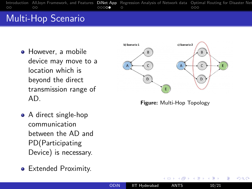[Introduction](#page-1-0) [AllJoyn Framework, and Features](#page-7-0) **[DiNet App](#page-20-0)** [Regression Analysis of Network data](#page-26-0) Optimal Routing for Disaster Net<br>00000 00000 0000 000 ΩŌ

# Multi-Hop Scenario

- **•** However, a mobile device may move to a location which is beyond the direct transmission range of AD.
- A direct single-hop communication between the AD and PD(Participating Device) is necessary.
- **•** Extended Proximity.



Figure: Multi-Hop Topology

 $200$ 

4日)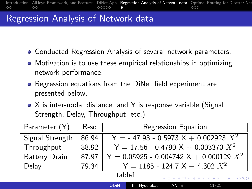### <span id="page-26-0"></span>Regression Analysis of Network data

- Conducted Regression Analysis of several network parameters.
- Motivation is to use these empirical relationships in optimizing network performance.
- Regression equations from the DiNet field experiment are presented below.
- X is inter-nodal distance, and Y is response variable (Signal Strength, Delay, Throughput, etc.)

| Parameter (Y)<br>R-sq    |       | Regression Equation                       |                                         |                                    |       |  |  |
|--------------------------|-------|-------------------------------------------|-----------------------------------------|------------------------------------|-------|--|--|
| 86.94<br>Signal Strength |       |                                           | Y = - 47.93 - 0.5973 X + 0.002923 $X^2$ |                                    |       |  |  |
| Throughput               | 88.92 | Y = 17.56 - 0.4790 X + 0.003370 $X^2$     |                                         |                                    |       |  |  |
| Battery Drain<br>87.97   |       | $Y = 0.05925 - 0.004742 X + 0.000129 X^2$ |                                         |                                    |       |  |  |
| Delay                    | 79.34 |                                           | $Y = 1185 - 124.7 X + 4.302 X^2$        |                                    |       |  |  |
|                          |       | table1                                    |                                         | K ロ ▶ K 何 ▶ K ヨ ▶ K ヨ ▶ │ ヨ │ 約9.0 |       |  |  |
|                          |       | ODIN                                      | <b>IIT Hyderabad</b>                    | <b>ANTS</b>                        | 11/21 |  |  |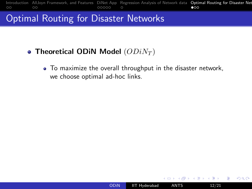<span id="page-27-0"></span>

#### Optimal Routing for Disaster Networks

#### • Theoretical ODIN Model  $(ODiN_T)$

To maximize the overall throughput in the disaster network, we choose optimal ad-hoc links.

4 17 18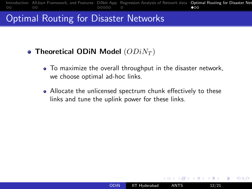[Introduction](#page-1-0) [AllJoyn Framework, and Features](#page-7-0) [DiNet App](#page-20-0) [Regression Analysis of Network data](#page-26-0) [Optimal Routing for Disaster Networks](#page-27-0) [Results and Analysis](#page-33-0) [Conclusions and Future work](#page-35-0)  $\circ$  $\circ$ 

#### Optimal Routing for Disaster Networks

- Theoretical ODIN Model  $(ODiN_T)$ 
	- To maximize the overall throughput in the disaster network, we choose optimal ad-hoc links.
	- Allocate the unlicensed spectrum chunk effectively to these links and tune the uplink power for these links.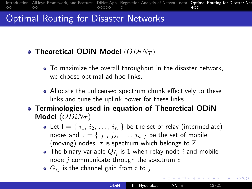[Introduction](#page-1-0) [AllJoyn Framework, and Features](#page-7-0) [DiNet App](#page-20-0) [Regression Analysis of Network data](#page-26-0) Optimal Routing for Disaster Net  $\circ$  $\circ$  $0000C$  $\bullet$ 00

# Optimal Routing for Disaster Networks

- Theoretical ODIN Model  $(ODiN_T)$ 
	- To maximize the overall throughput in the disaster network, we choose optimal ad-hoc links.
	- Allocate the unlicensed spectrum chunk effectively to these links and tune the uplink power for these links.
- Terminologies used in equation of Theoretical ODiN Model  $(ODiN_T)$ 
	- Let  $I = \{ i_1, i_2, \ldots, i_n \}$  be the set of relay (intermediate) nodes and  $J = \{j_1, j_2, \ldots, j_n\}$  be the set of mobile (moving) nodes. z is spectrum which belongs to Z.
	- The binary variable  $Q_{ij}^z$  is 1 when relay node  $i$  and mobile node  $j$  communicate through the spectrum  $z$ .

つくい

 $G_{ij}$  is the channel gain from i to j.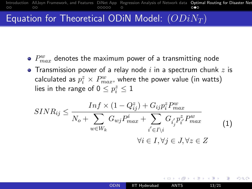[Introduction](#page-1-0) [AllJoyn Framework, and Features](#page-7-0) [DiNet App](#page-20-0) [Regression Analysis of Network data](#page-26-0) Optimal Routing for Disaster Net ΩŌ  $\Omega$  $\Omega$ 

# Equation for Theoretical ODiN Model:  $(ODiN_T)$

- $P_{max}^w$  denotes the maximum power of a transmitting node
- Transmission power of a relay node  $i$  in a spectrum chunk  $z$  is calculated as  $p^z_i \times P^w_{max}$ , where the power value (in watts) lies in the range of  $0 \le p_i^z \le 1$

$$
SINR_{ij} \le \frac{Inf \times (1 - Q_{ij}^{z}) + G_{ij}p_{i}^{z}P_{max}^{w}}{N_o + \sum_{w \in W_k} G_{wj}P_{max}^{i} + \sum_{i' \in I \setminus i} G_{i'_{j'}}p_{i'}^{z}P_{max}^{w}} \qquad (1)
$$

$$
\forall i \in I, \forall j \in J, \forall z \in Z
$$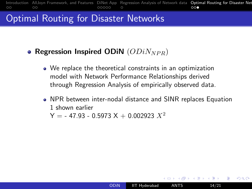[Introduction](#page-1-0) [AllJoyn Framework, and Features](#page-7-0) [DiNet App](#page-20-0) [Regression Analysis of Network data](#page-26-0) Optimal Routing for Disaster Net<br>00000000000000000000000  $\Omega$  $\circ$ 

#### Optimal Routing for Disaster Networks

#### • Regression Inspired ODIN  $(ODiN_{NPR})$

- We replace the theoretical constraints in an optimization model with Network Performance Relationships derived through Regression Analysis of empirically observed data.
- NPR between inter-nodal distance and SINR replaces Equation 1 shown earlier

 $Y = -47.93 - 0.5973 X + 0.002923 X^2$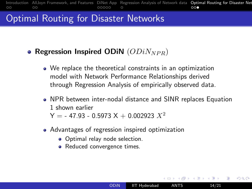[Introduction](#page-1-0) [AllJoyn Framework, and Features](#page-7-0) [DiNet App](#page-20-0) [Regression Analysis of Network data](#page-26-0) Optimal Routing for Disaster Net<br>00000000000000000000000  $\circ$  $\circ$ 

#### Optimal Routing for Disaster Networks

#### • Regression Inspired ODIN  $(ODiN_{NPR})$

- We replace the theoretical constraints in an optimization model with Network Performance Relationships derived through Regression Analysis of empirically observed data.
- NPR between inter-nodal distance and SINR replaces Equation 1 shown earlier

[ODiN](#page-0-0) IIT Hyderabad ANTS 14/21

つくい

 $Y = -47.93 - 0.5973 X + 0.002923 X^2$ 

- Advantages of regression inspired optimization
	- Optimal relay node selection.
	- Reduced convergence times.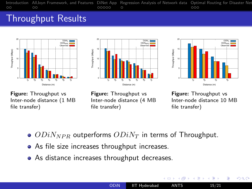<span id="page-33-0"></span>[Introduction](#page-1-0) [AllJoyn Framework, and Features](#page-7-0) [DiNet App](#page-20-0) [Regression Analysis of Network data](#page-26-0) Optimal Routing for Disaster Net<br>000 0000 0000 0000 0000 0  $\Omega$ 

#### Throughput Results







Figure: Throughput vs Inter-node distance (1 MB file transfer)

Figure: Throughput vs Inter-node distance (4 MB file transfer)

Figure: Throughput vs Inter-node distance 10 MB file transfer)

4 重

 $QQ$ 

- $ODiN_{NPR}$  outperforms  $ODiN_T$  in terms of Throughput.
- As file size increases throughput increases.
- As distance increases throughput decreases.

4日下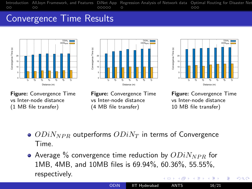[Introduction](#page-1-0) [AllJoyn Framework, and Features](#page-7-0) [DiNet App](#page-20-0) [Regression Analysis of Network data](#page-26-0) Optimal Routing for Disaster Net<br>000 0000 0000 0000 0000 0  $\circ$ 

# Convergence Time Results







Figure: Convergence Time vs Inter-node distance (1 MB file transfer)

Figure: Convergence Time vs Inter-node distance (4 MB file transfer)

Figure: Convergence Time vs Inter-node distance 10 MB file transfer)

- $\bullet$   $ODiN_{NPR}$  outperforms  $ODiN_T$  in terms of Convergence Time.
- Average  $\%$  convergence time reduction by  $ODiN_{NPR}$  for 1MB, 4MB, and 10MB files is 69.94%, 60.36%, 55.55%, respectively.  $10<sup>2</sup>$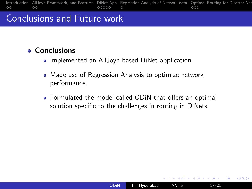# <span id="page-35-0"></span>Conclusions and Future work

#### **e** Conclusions

- Implemented an AllJoyn based DiNet application.
- Made use of Regression Analysis to optimize network performance.
- Formulated the model called ODiN that offers an optimal solution specific to the challenges in routing in DiNets.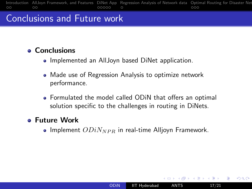# Conclusions and Future work

#### **e** Conclusions

- Implemented an AllJoyn based DiNet application.
- Made use of Regression Analysis to optimize network performance.
- Formulated the model called ODiN that offers an optimal solution specific to the challenges in routing in DiNets.

#### Future Work

• Implement  $ODiN_{NPR}$  in real-time Alljoyn Framework.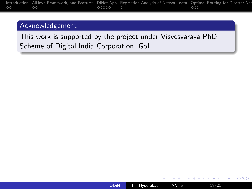#### Acknowledgement

This work is supported by the project under Visvesvaraya PhD Scheme of Digital India Corporation, GoI.

4日)

 $299$ 

∍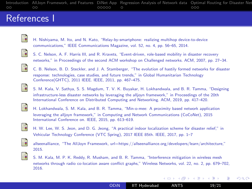[Introduction](#page-1-0) [AllJoyn Framework, and Features](#page-7-0) [DiNet App](#page-20-0) [Regression Analysis of Network data](#page-26-0) Optimal Routing for Disaster Net<br>000 0000 0000 0000 0000 0  $\circ$  $\circ$ 

#### References I



H. Nishiyama, M. Ito, and N. Kato, "Relay-by-smartphone: realizing multihop device-to-device communications," IEEE Communications Magazine, vol. 52, no. 4, pp. 56–65, 2014.



S. C. Nelson, A. F. Harris III, and R. Kravets, "Event-driven, role-based mobility in disaster recovery networks," in Proceedings of the second ACM workshop on Challenged networks. ACM, 2007, pp. 27–34.



C. B. Nelson, B. D. Steckler, and J. A. Stamberger, "The evolution of hastily formed networks for disaster response: technologies, case studies, and future trends," in Global Humanitarian Technology Conference(GHTC), 2011 IEEE. IEEE, 2011, pp. 467–475.



S. M. Kala, V. Sathya, S. S. Magdum, T. V. K. Buyakar, H. Lokhandwala, and B. R. Tamma, "Designing infrastructure-less disaster networks by leveraging the alljoyn framework," in Proceedings of the 20th International Conference on Distributed Computing and Networking. ACM, 2019, pp. 417–420.



H. Lokhandwala, S. M. Kala, and B. R. Tamma, "Min-o-mee: A proximity based network application leveraging the alljoyn framework," in Computing and Network Communications (CoCoNet), 2015 International Conference on. IEEE, 2015, pp. 613–619.



H. W. Lee, W. S. Jeon, and D. G. Jeong, "A practical indoor localization scheme for disaster relief," in Vehicular Technology Conference (VTC Spring), 2017 IEEE 85th. IEEE, 2017, pp. 1–7



allseenalliance, "The AllJoyn Framework, url=https://allseenalliance.org/developers/learn/architecture," 2015.





∢ロ ▶ ∢何 ▶ ∢ ヨ ▶ ∢ ヨ ▶

∍ つくい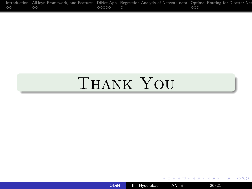|         |       | Introduction AllJoyn Framework, and Features DiNet App Regression Analysis of Network data Optimal Routing for Disaster Net |     |  |
|---------|-------|-----------------------------------------------------------------------------------------------------------------------------|-----|--|
| $\circ$ | 00000 |                                                                                                                             | 000 |  |

# Thank You

[ODiN](#page-0-0) IIT Hyderabad ANTS 20/21

 $\leftarrow$ 

이 지금이

 $2Q$ 

≣